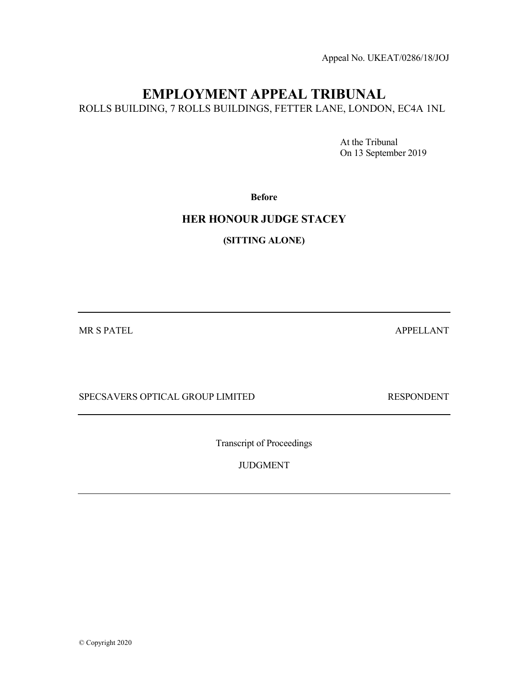Appeal No. UKEAT/0286/18/JOJ

# EMPLOYMENT APPEAL TRIBUNAL

ROLLS BUILDING, 7 ROLLS BUILDINGS, FETTER LANE, LONDON, EC4A 1NL

 At the Tribunal On 13 September 2019

Before

# HER HONOUR JUDGE STACEY

(SITTING ALONE)

MR S PATEL ANT APPELLANT

SPECSAVERS OPTICAL GROUP LIMITED RESPONDENT

Transcript of Proceedings

JUDGMENT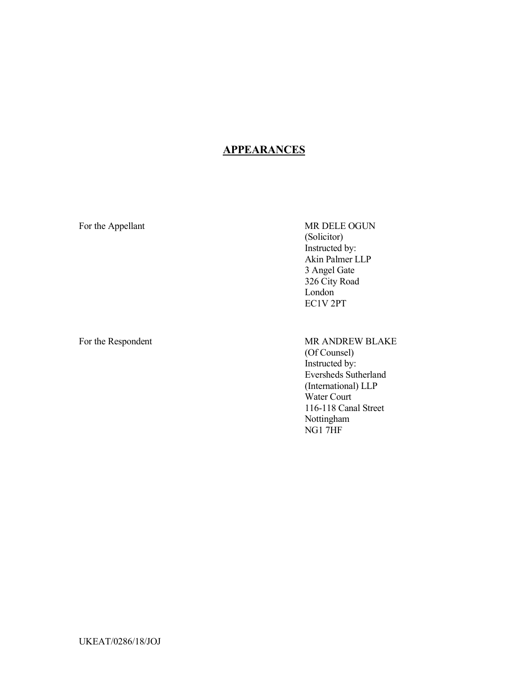# **APPEARANCES**

For the Appellant MR DELE OGUN (Solicitor) Instructed by: Akin Palmer LLP 3 Angel Gate 326 City Road London EC1V 2PT

For the Respondent MR ANDREW BLAKE (Of Counsel) Instructed by: Eversheds Sutherland (International) LLP Water Court 116-118 Canal Street Nottingham NG1 7HF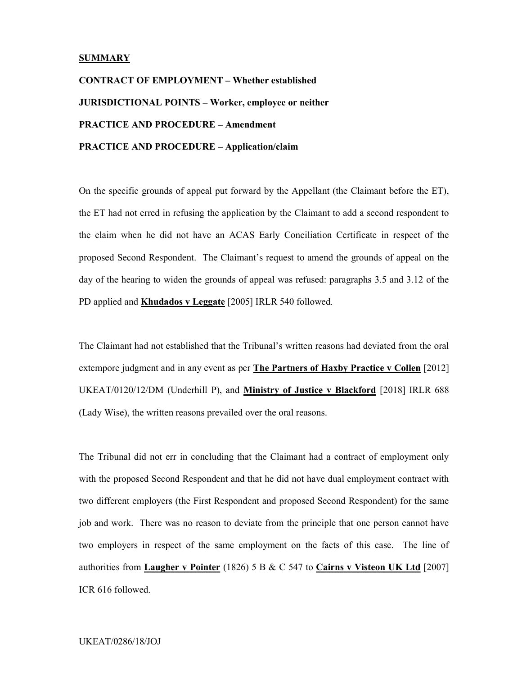#### SUMMARY

CONTRACT OF EMPLOYMENT – Whether established JURISDICTIONAL POINTS – Worker, employee or neither PRACTICE AND PROCEDURE – Amendment PRACTICE AND PROCEDURE – Application/claim

On the specific grounds of appeal put forward by the Appellant (the Claimant before the ET), the ET had not erred in refusing the application by the Claimant to add a second respondent to the claim when he did not have an ACAS Early Conciliation Certificate in respect of the proposed Second Respondent. The Claimant's request to amend the grounds of appeal on the day of the hearing to widen the grounds of appeal was refused: paragraphs 3.5 and 3.12 of the PD applied and Khudados v Leggate [2005] IRLR 540 followed.

The Claimant had not established that the Tribunal's written reasons had deviated from the oral extempore judgment and in any event as per The Partners of Haxby Practice v Collen [2012] UKEAT/0120/12/DM (Underhill P), and Ministry of Justice v Blackford [2018] IRLR 688 (Lady Wise), the written reasons prevailed over the oral reasons.

The Tribunal did not err in concluding that the Claimant had a contract of employment only with the proposed Second Respondent and that he did not have dual employment contract with two different employers (the First Respondent and proposed Second Respondent) for the same job and work. There was no reason to deviate from the principle that one person cannot have two employers in respect of the same employment on the facts of this case. The line of authorities from Laugher v Pointer (1826) 5 B & C 547 to Cairns v Visteon UK Ltd [2007] ICR 616 followed.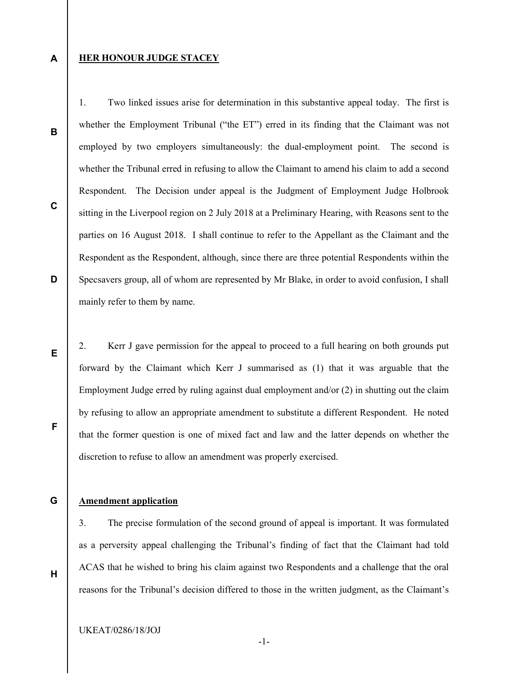### HER HONOUR JUDGE STACEY

B

C

D

E

A

whether the Employment Tribunal ("the ET") erred in its finding that the Claimant was not employed by two employers simultaneously: the dual-employment point. The second is whether the Tribunal erred in refusing to allow the Claimant to amend his claim to add a second Respondent. The Decision under appeal is the Judgment of Employment Judge Holbrook sitting in the Liverpool region on 2 July 2018 at a Preliminary Hearing, with Reasons sent to the parties on 16 August 2018. I shall continue to refer to the Appellant as the Claimant and the Respondent as the Respondent, although, since there are three potential Respondents within the Specsavers group, all of whom are represented by Mr Blake, in order to avoid confusion, I shall mainly refer to them by name.

1. Two linked issues arise for determination in this substantive appeal today. The first is

2. Kerr J gave permission for the appeal to proceed to a full hearing on both grounds put forward by the Claimant which Kerr J summarised as (1) that it was arguable that the Employment Judge erred by ruling against dual employment and/or (2) in shutting out the claim by refusing to allow an appropriate amendment to substitute a different Respondent. He noted that the former question is one of mixed fact and law and the latter depends on whether the discretion to refuse to allow an amendment was properly exercised.

G

F

# Amendment application

3. The precise formulation of the second ground of appeal is important. It was formulated as a perversity appeal challenging the Tribunal's finding of fact that the Claimant had told ACAS that he wished to bring his claim against two Respondents and a challenge that the oral reasons for the Tribunal's decision differed to those in the written judgment, as the Claimant's

H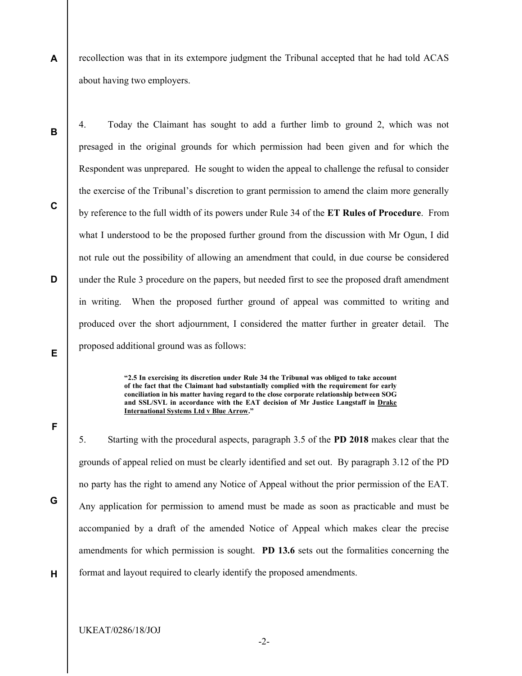A recollection was that in its extempore judgment the Tribunal accepted that he had told ACAS about having two employers.

B

C

D

4. Today the Claimant has sought to add a further limb to ground 2, which was not presaged in the original grounds for which permission had been given and for which the Respondent was unprepared. He sought to widen the appeal to challenge the refusal to consider the exercise of the Tribunal's discretion to grant permission to amend the claim more generally by reference to the full width of its powers under Rule 34 of the ET Rules of Procedure. From what I understood to be the proposed further ground from the discussion with Mr Ogun, I did not rule out the possibility of allowing an amendment that could, in due course be considered under the Rule 3 procedure on the papers, but needed first to see the proposed draft amendment in writing. When the proposed further ground of appeal was committed to writing and produced over the short adjournment, I considered the matter further in greater detail. The proposed additional ground was as follows:

> "2.5 In exercising its discretion under Rule 34 the Tribunal was obliged to take account of the fact that the Claimant had substantially complied with the requirement for early conciliation in his matter having regard to the close corporate relationship between SOG and SSL/SVL in accordance with the EAT decision of Mr Justice Langstaff in Drake International Systems Ltd v Blue Arrow."

E

F

5. Starting with the procedural aspects, paragraph 3.5 of the PD 2018 makes clear that the grounds of appeal relied on must be clearly identified and set out. By paragraph 3.12 of the PD no party has the right to amend any Notice of Appeal without the prior permission of the EAT. Any application for permission to amend must be made as soon as practicable and must be accompanied by a draft of the amended Notice of Appeal which makes clear the precise amendments for which permission is sought. PD 13.6 sets out the formalities concerning the format and layout required to clearly identify the proposed amendments.

H

G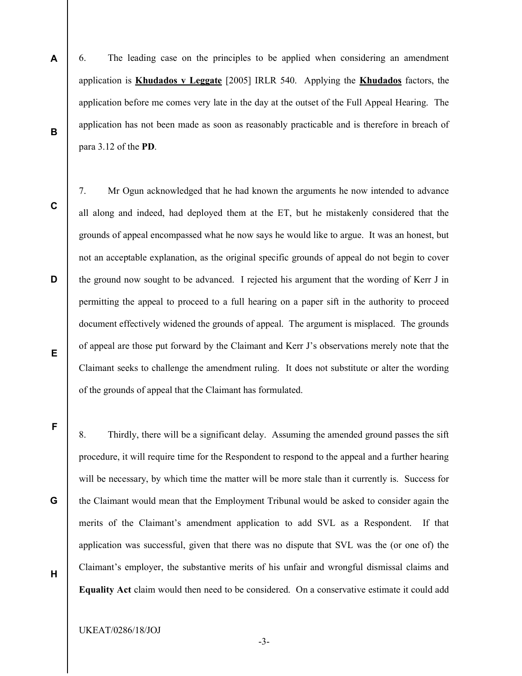- 6. The leading case on the principles to be applied when considering an amendment application is Khudados v Leggate [2005] IRLR 540. Applying the Khudados factors, the application before me comes very late in the day at the outset of the Full Appeal Hearing. The application has not been made as soon as reasonably practicable and is therefore in breach of para 3.12 of the PD.
- C

D

E

F

G

H

A

B

7. Mr Ogun acknowledged that he had known the arguments he now intended to advance all along and indeed, had deployed them at the ET, but he mistakenly considered that the grounds of appeal encompassed what he now says he would like to argue. It was an honest, but not an acceptable explanation, as the original specific grounds of appeal do not begin to cover the ground now sought to be advanced. I rejected his argument that the wording of Kerr J in permitting the appeal to proceed to a full hearing on a paper sift in the authority to proceed document effectively widened the grounds of appeal. The argument is misplaced. The grounds of appeal are those put forward by the Claimant and Kerr J's observations merely note that the Claimant seeks to challenge the amendment ruling. It does not substitute or alter the wording of the grounds of appeal that the Claimant has formulated.

8. Thirdly, there will be a significant delay. Assuming the amended ground passes the sift procedure, it will require time for the Respondent to respond to the appeal and a further hearing will be necessary, by which time the matter will be more stale than it currently is. Success for the Claimant would mean that the Employment Tribunal would be asked to consider again the merits of the Claimant's amendment application to add SVL as a Respondent. If that application was successful, given that there was no dispute that SVL was the (or one of) the Claimant's employer, the substantive merits of his unfair and wrongful dismissal claims and Equality Act claim would then need to be considered. On a conservative estimate it could add

UKEAT/0286/18/JOJ

-3-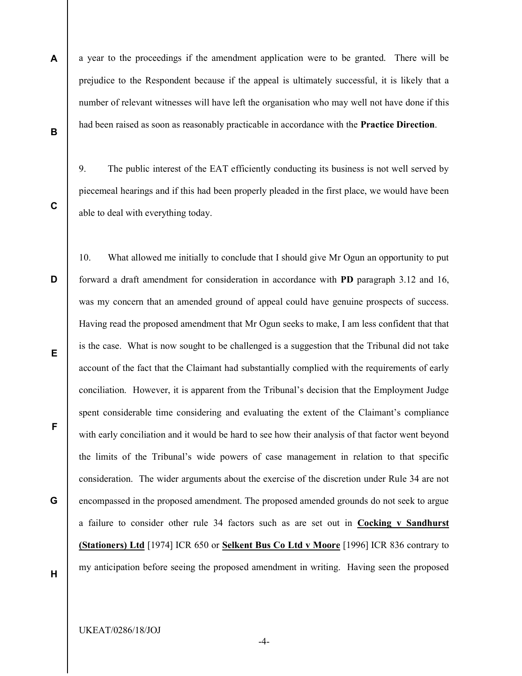A B a year to the proceedings if the amendment application were to be granted. There will be prejudice to the Respondent because if the appeal is ultimately successful, it is likely that a number of relevant witnesses will have left the organisation who may well not have done if this had been raised as soon as reasonably practicable in accordance with the Practice Direction.

9. The public interest of the EAT efficiently conducting its business is not well served by piecemeal hearings and if this had been properly pleaded in the first place, we would have been able to deal with everything today.

C

D

E F G 10. What allowed me initially to conclude that I should give Mr Ogun an opportunity to put forward a draft amendment for consideration in accordance with PD paragraph 3.12 and 16, was my concern that an amended ground of appeal could have genuine prospects of success. Having read the proposed amendment that Mr Ogun seeks to make, I am less confident that that is the case. What is now sought to be challenged is a suggestion that the Tribunal did not take account of the fact that the Claimant had substantially complied with the requirements of early conciliation. However, it is apparent from the Tribunal's decision that the Employment Judge spent considerable time considering and evaluating the extent of the Claimant's compliance with early conciliation and it would be hard to see how their analysis of that factor went beyond the limits of the Tribunal's wide powers of case management in relation to that specific consideration. The wider arguments about the exercise of the discretion under Rule 34 are not encompassed in the proposed amendment. The proposed amended grounds do not seek to argue a failure to consider other rule 34 factors such as are set out in Cocking v Sandhurst (Stationers) Ltd [1974] ICR 650 or Selkent Bus Co Ltd v Moore [1996] ICR 836 contrary to my anticipation before seeing the proposed amendment in writing. Having seen the proposed

H

-4-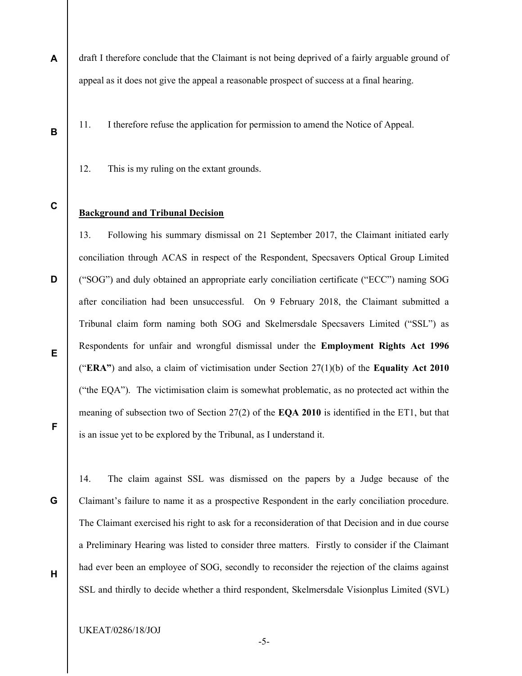- A draft I therefore conclude that the Claimant is not being deprived of a fairly arguable ground of appeal as it does not give the appeal a reasonable prospect of success at a final hearing.
	- 11. I therefore refuse the application for permission to amend the Notice of Appeal.
	- 12. This is my ruling on the extant grounds.
- C

D

B

## Background and Tribunal Decision

13. Following his summary dismissal on 21 September 2017, the Claimant initiated early conciliation through ACAS in respect of the Respondent, Specsavers Optical Group Limited ("SOG") and duly obtained an appropriate early conciliation certificate ("ECC") naming SOG after conciliation had been unsuccessful. On 9 February 2018, the Claimant submitted a Tribunal claim form naming both SOG and Skelmersdale Specsavers Limited ("SSL") as Respondents for unfair and wrongful dismissal under the Employment Rights Act 1996 ("ERA") and also, a claim of victimisation under Section  $27(1)(b)$  of the Equality Act 2010 ("the EQA"). The victimisation claim is somewhat problematic, as no protected act within the meaning of subsection two of Section  $27(2)$  of the EQA 2010 is identified in the ET1, but that is an issue yet to be explored by the Tribunal, as I understand it.

E

F

G

H

14. The claim against SSL was dismissed on the papers by a Judge because of the Claimant's failure to name it as a prospective Respondent in the early conciliation procedure. The Claimant exercised his right to ask for a reconsideration of that Decision and in due course a Preliminary Hearing was listed to consider three matters. Firstly to consider if the Claimant had ever been an employee of SOG, secondly to reconsider the rejection of the claims against SSL and thirdly to decide whether a third respondent, Skelmersdale Visionplus Limited (SVL)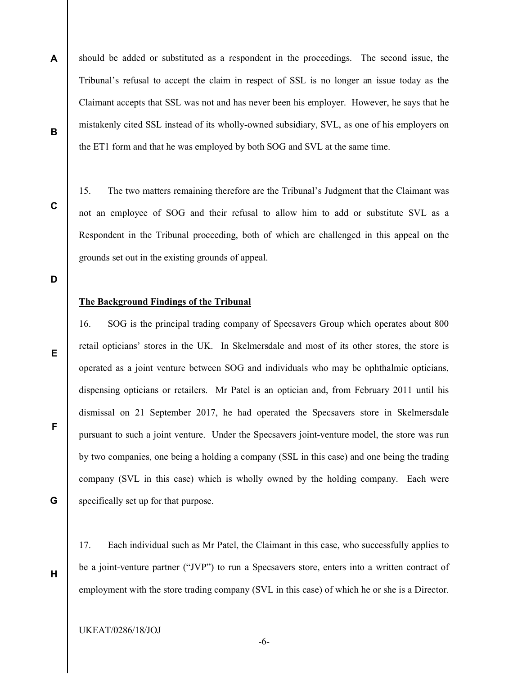A B should be added or substituted as a respondent in the proceedings. The second issue, the Tribunal's refusal to accept the claim in respect of SSL is no longer an issue today as the Claimant accepts that SSL was not and has never been his employer. However, he says that he mistakenly cited SSL instead of its wholly-owned subsidiary, SVL, as one of his employers on the ET1 form and that he was employed by both SOG and SVL at the same time.

15. The two matters remaining therefore are the Tribunal's Judgment that the Claimant was not an employee of SOG and their refusal to allow him to add or substitute SVL as a Respondent in the Tribunal proceeding, both of which are challenged in this appeal on the grounds set out in the existing grounds of appeal.

D

E

C

## The Background Findings of the Tribunal

16. SOG is the principal trading company of Specsavers Group which operates about 800 retail opticians' stores in the UK. In Skelmersdale and most of its other stores, the store is operated as a joint venture between SOG and individuals who may be ophthalmic opticians, dispensing opticians or retailers. Mr Patel is an optician and, from February 2011 until his dismissal on 21 September 2017, he had operated the Specsavers store in Skelmersdale pursuant to such a joint venture. Under the Specsavers joint-venture model, the store was run by two companies, one being a holding a company (SSL in this case) and one being the trading company (SVL in this case) which is wholly owned by the holding company. Each were specifically set up for that purpose.

F

G

H

17. Each individual such as Mr Patel, the Claimant in this case, who successfully applies to be a joint-venture partner ("JVP") to run a Specsavers store, enters into a written contract of employment with the store trading company (SVL in this case) of which he or she is a Director.

-6-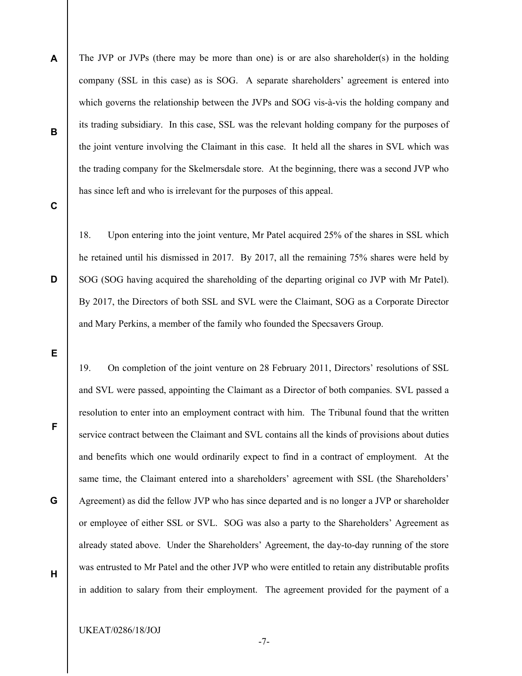A B The JVP or JVPs (there may be more than one) is or are also shareholder(s) in the holding company (SSL in this case) as is SOG. A separate shareholders' agreement is entered into which governs the relationship between the JVPs and SOG vis-à-vis the holding company and its trading subsidiary. In this case, SSL was the relevant holding company for the purposes of the joint venture involving the Claimant in this case. It held all the shares in SVL which was the trading company for the Skelmersdale store. At the beginning, there was a second JVP who has since left and who is irrelevant for the purposes of this appeal.

C

18. Upon entering into the joint venture, Mr Patel acquired 25% of the shares in SSL which he retained until his dismissed in 2017. By 2017, all the remaining 75% shares were held by SOG (SOG having acquired the shareholding of the departing original co JVP with Mr Patel). By 2017, the Directors of both SSL and SVL were the Claimant, SOG as a Corporate Director and Mary Perkins, a member of the family who founded the Specsavers Group.

19. On completion of the joint venture on 28 February 2011, Directors' resolutions of SSL and SVL were passed, appointing the Claimant as a Director of both companies. SVL passed a resolution to enter into an employment contract with him. The Tribunal found that the written service contract between the Claimant and SVL contains all the kinds of provisions about duties and benefits which one would ordinarily expect to find in a contract of employment. At the same time, the Claimant entered into a shareholders' agreement with SSL (the Shareholders' Agreement) as did the fellow JVP who has since departed and is no longer a JVP or shareholder or employee of either SSL or SVL. SOG was also a party to the Shareholders' Agreement as already stated above. Under the Shareholders' Agreement, the day-to-day running of the store was entrusted to Mr Patel and the other JVP who were entitled to retain any distributable profits in addition to salary from their employment. The agreement provided for the payment of a

-7-

UKEAT/0286/18/JOJ

E

F

G

H

D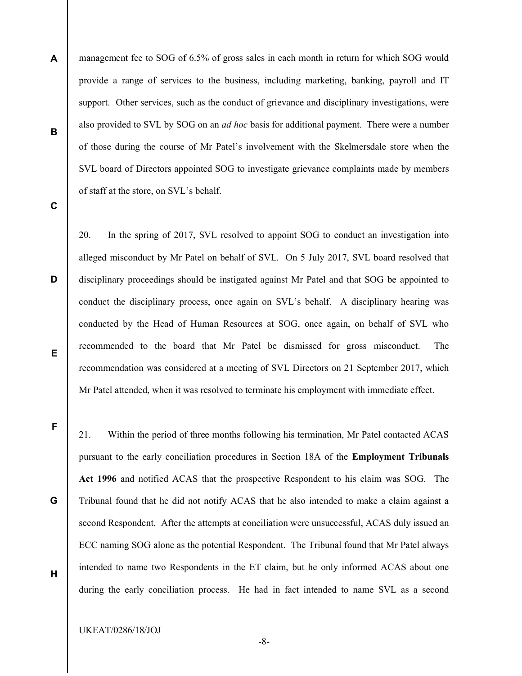A B management fee to SOG of 6.5% of gross sales in each month in return for which SOG would provide a range of services to the business, including marketing, banking, payroll and IT support. Other services, such as the conduct of grievance and disciplinary investigations, were also provided to SVL by SOG on an ad hoc basis for additional payment. There were a number of those during the course of Mr Patel's involvement with the Skelmersdale store when the SVL board of Directors appointed SOG to investigate grievance complaints made by members of staff at the store, on SVL's behalf.

C

D

20. In the spring of 2017, SVL resolved to appoint SOG to conduct an investigation into alleged misconduct by Mr Patel on behalf of SVL. On 5 July 2017, SVL board resolved that disciplinary proceedings should be instigated against Mr Patel and that SOG be appointed to conduct the disciplinary process, once again on SVL's behalf. A disciplinary hearing was conducted by the Head of Human Resources at SOG, once again, on behalf of SVL who recommended to the board that Mr Patel be dismissed for gross misconduct. The recommendation was considered at a meeting of SVL Directors on 21 September 2017, which Mr Patel attended, when it was resolved to terminate his employment with immediate effect.

E

F

G

21. Within the period of three months following his termination, Mr Patel contacted ACAS pursuant to the early conciliation procedures in Section 18A of the Employment Tribunals Act 1996 and notified ACAS that the prospective Respondent to his claim was SOG. The Tribunal found that he did not notify ACAS that he also intended to make a claim against a second Respondent. After the attempts at conciliation were unsuccessful, ACAS duly issued an ECC naming SOG alone as the potential Respondent. The Tribunal found that Mr Patel always intended to name two Respondents in the ET claim, but he only informed ACAS about one during the early conciliation process. He had in fact intended to name SVL as a second

H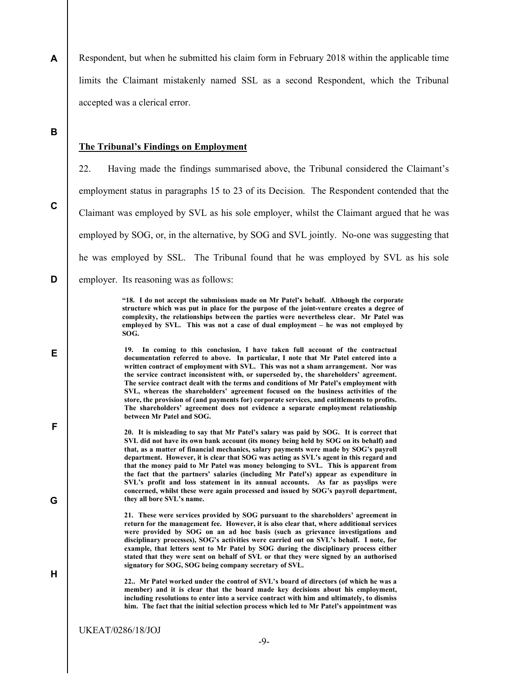A Respondent, but when he submitted his claim form in February 2018 within the applicable time limits the Claimant mistakenly named SSL as a second Respondent, which the Tribunal accepted was a clerical error.

# B

C

D

E

F

G

H

#### The Tribunal's Findings on Employment

22. Having made the findings summarised above, the Tribunal considered the Claimant's employment status in paragraphs 15 to 23 of its Decision. The Respondent contended that the Claimant was employed by SVL as his sole employer, whilst the Claimant argued that he was employed by SOG, or, in the alternative, by SOG and SVL jointly. No-one was suggesting that he was employed by SSL. The Tribunal found that he was employed by SVL as his sole employer. Its reasoning was as follows:

> "18. I do not accept the submissions made on Mr Patel's behalf. Although the corporate structure which was put in place for the purpose of the joint-venture creates a degree of complexity, the relationships between the parties were nevertheless clear. Mr Patel was employed by SVL. This was not a case of dual employment – he was not employed by SOG.

19. In coming to this conclusion, I have taken full account of the contractual documentation referred to above. In particular, I note that Mr Patel entered into a written contract of employment with SVL. This was not a sham arrangement. Nor was the service contract inconsistent with, or superseded by, the shareholders' agreement. The service contract dealt with the terms and conditions of Mr Patel's employment with SVL, whereas the shareholders' agreement focused on the business activities of the store, the provision of (and payments for) corporate services, and entitlements to profits. The shareholders' agreement does not evidence a separate employment relationship between Mr Patel and SOG.

20. It is misleading to say that Mr Patel's salary was paid by SOG. It is correct that SVL did not have its own bank account (its money being held by SOG on its behalf) and that, as a matter of financial mechanics, salary payments were made by SOG's payroll department. However, it is clear that SOG was acting as SVL's agent in this regard and that the money paid to Mr Patel was money belonging to SVL. This is apparent from the fact that the partners' salaries (including Mr Patel's) appear as expenditure in SVL's profit and loss statement in its annual accounts. As far as payslips were concerned, whilst these were again processed and issued by SOG's payroll department, they all bore SVL's name.

21. These were services provided by SOG pursuant to the shareholders' agreement in return for the management fee. However, it is also clear that, where additional services were provided by SOG on an ad hoc basis (such as grievance investigations and disciplinary processes), SOG's activities were carried out on SVL's behalf. I note, for example, that letters sent to Mr Patel by SOG during the disciplinary process either stated that they were sent on behalf of SVL or that they were signed by an authorised signatory for SOG, SOG being company secretary of SVL.

22.. Mr Patel worked under the control of SVL's board of directors (of which he was a member) and it is clear that the board made key decisions about his employment, including resolutions to enter into a service contract with him and ultimately, to dismiss him. The fact that the initial selection process which led to Mr Patel's appointment was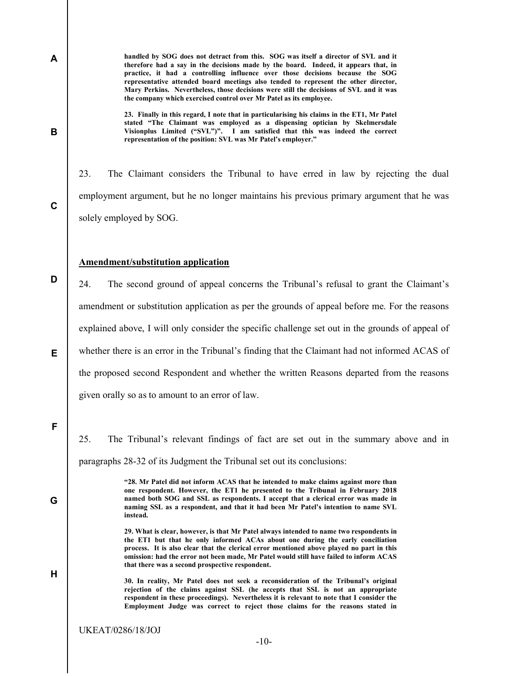handled by SOG does not detract from this. SOG was itself a director of SVL and it therefore had a say in the decisions made by the board. Indeed, it appears that, in practice, it had a controlling influence over those decisions because the SOG representative attended board meetings also tended to represent the other director, Mary Perkins. Nevertheless, those decisions were still the decisions of SVL and it was the company which exercised control over Mr Patel as its employee.

23. Finally in this regard, I note that in particularising his claims in the ET1, Mr Patel stated "The Claimant was employed as a dispensing optician by Skelmersdale Visionplus Limited ("SVL")". I am satisfied that this was indeed the correct representation of the position: SVL was Mr Patel's employer."

23. The Claimant considers the Tribunal to have erred in law by rejecting the dual employment argument, but he no longer maintains his previous primary argument that he was solely employed by SOG.

#### Amendment/substitution application

24. The second ground of appeal concerns the Tribunal's refusal to grant the Claimant's amendment or substitution application as per the grounds of appeal before me. For the reasons explained above, I will only consider the specific challenge set out in the grounds of appeal of whether there is an error in the Tribunal's finding that the Claimant had not informed ACAS of the proposed second Respondent and whether the written Reasons departed from the reasons given orally so as to amount to an error of law.

F

G

H

A

B

C

D

E

25. The Tribunal's relevant findings of fact are set out in the summary above and in paragraphs 28-32 of its Judgment the Tribunal set out its conclusions:

> "28. Mr Patel did not inform ACAS that he intended to make claims against more than one respondent. However, the ET1 he presented to the Tribunal in February 2018 named both SOG and SSL as respondents. I accept that a clerical error was made in naming SSL as a respondent, and that it had been Mr Patel's intention to name SVL instead.

> 29. What is clear, however, is that Mr Patel always intended to name two respondents in the ET1 but that he only informed ACAs about one during the early conciliation process. It is also clear that the clerical error mentioned above played no part in this omission: had the error not been made, Mr Patel would still have failed to inform ACAS that there was a second prospective respondent.

> 30. In reality, Mr Patel does not seek a reconsideration of the Tribunal's original rejection of the claims against SSL (he accepts that SSL is not an appropriate respondent in these proceedings). Nevertheless it is relevant to note that I consider the Employment Judge was correct to reject those claims for the reasons stated in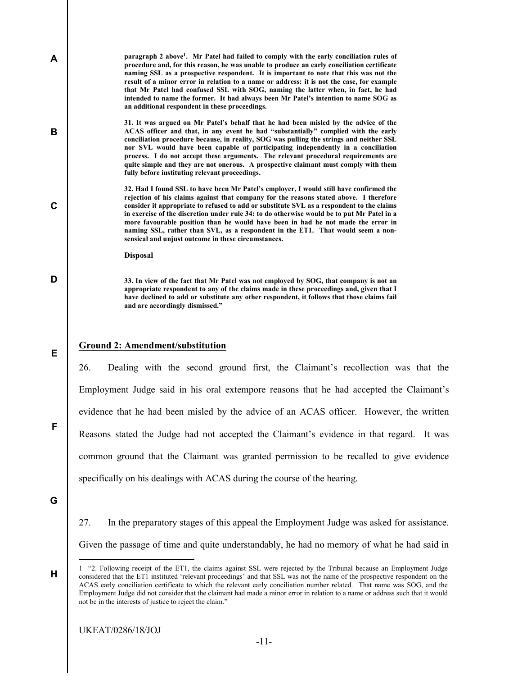paragraph 2 above<sup>1</sup>. Mr Patel had failed to comply with the early conciliation rules of procedure and, for this reason, he was unable to produce an early conciliation certificate naming SSL as a prospective respondent. It is important to note that this was not the result of a minor error in relation to a name or address: it is not the case, for example that Mr Patel had confused SSL with SOG, naming the latter when, in fact, he had intended to name the former. It had always been Mr Patel's intention to name SOG as an additional respondent in these proceedings.

31. It was argued on Mr Patel's behalf that he had been misled by the advice of the ACAS officer and that, in any event he had "substantially" complied with the early conciliation procedure because, in reality, SOG was pulling the strings and neither SSL nor SVL would have been capable of participating independently in a conciliation process. I do not accept these arguments. The relevant procedural requirements are quite simple and they are not onerous. A prospective claimant must comply with them fully before instituting relevant proceedings.

32. Had I found SSL to have been Mr Patel's employer, I would still have confirmed the rejection of his claims against that company for the reasons stated above. I therefore consider it appropriate to refused to add or substitute SVL as a respondent to the claims in exercise of the discretion under rule 34: to do otherwise would be to put Mr Patel in a more favourable position than he would have been in had he not made the error in naming SSL, rather than SVL, as a respondent in the ET1. That would seem a nonsensical and unjust outcome in these circumstances.

Disposal

33. In view of the fact that Mr Patel was not employed by SOG, that company is not an appropriate respondent to any of the claims made in these proceedings and, given that I have declined to add or substitute any other respondent, it follows that those claims fail and are accordingly dismissed."

#### Ground 2: Amendment/substitution

26. Dealing with the second ground first, the Claimant's recollection was that the Employment Judge said in his oral extempore reasons that he had accepted the Claimant's evidence that he had been misled by the advice of an ACAS officer. However, the written Reasons stated the Judge had not accepted the Claimant's evidence in that regard. It was common ground that the Claimant was granted permission to be recalled to give evidence specifically on his dealings with ACAS during the course of the hearing.

G

H

-

A

B

C

D

E

F

27. In the preparatory stages of this appeal the Employment Judge was asked for assistance. Given the passage of time and quite understandably, he had no memory of what he had said in

<sup>1 &</sup>quot;2. Following receipt of the ET1, the claims against SSL were rejected by the Tribunal because an Employment Judge considered that the ET1 instituted 'relevant proceedings' and that SSL was not the name of the prospective respondent on the ACAS early conciliation certificate to which the relevant early conciliation number related. That name was SOG, and the Employment Judge did not consider that the claimant had made a minor error in relation to a name or address such that it would not be in the interests of justice to reject the claim."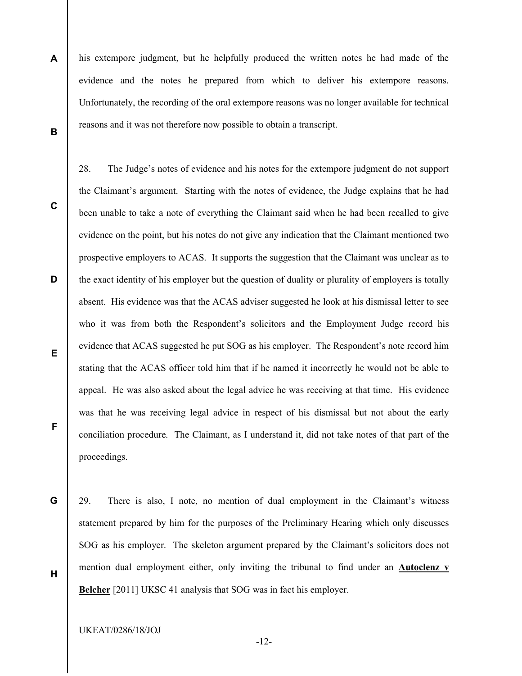A B his extempore judgment, but he helpfully produced the written notes he had made of the evidence and the notes he prepared from which to deliver his extempore reasons. Unfortunately, the recording of the oral extempore reasons was no longer available for technical reasons and it was not therefore now possible to obtain a transcript.

C

D

E

F

G

28. The Judge's notes of evidence and his notes for the extempore judgment do not support the Claimant's argument. Starting with the notes of evidence, the Judge explains that he had been unable to take a note of everything the Claimant said when he had been recalled to give evidence on the point, but his notes do not give any indication that the Claimant mentioned two prospective employers to ACAS. It supports the suggestion that the Claimant was unclear as to the exact identity of his employer but the question of duality or plurality of employers is totally absent. His evidence was that the ACAS adviser suggested he look at his dismissal letter to see who it was from both the Respondent's solicitors and the Employment Judge record his evidence that ACAS suggested he put SOG as his employer. The Respondent's note record him stating that the ACAS officer told him that if he named it incorrectly he would not be able to appeal. He was also asked about the legal advice he was receiving at that time. His evidence was that he was receiving legal advice in respect of his dismissal but not about the early conciliation procedure. The Claimant, as I understand it, did not take notes of that part of the proceedings.

H 29. There is also, I note, no mention of dual employment in the Claimant's witness statement prepared by him for the purposes of the Preliminary Hearing which only discusses SOG as his employer. The skeleton argument prepared by the Claimant's solicitors does not mention dual employment either, only inviting the tribunal to find under an Autoclenz v Belcher [2011] UKSC 41 analysis that SOG was in fact his employer.

UKEAT/0286/18/JOJ

-12-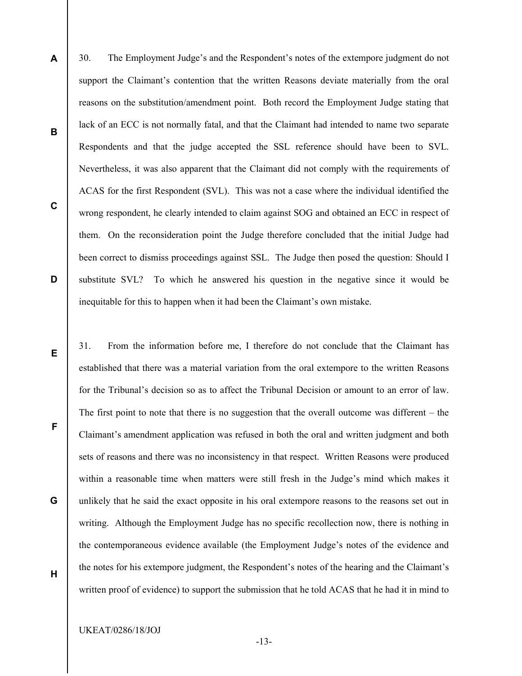- 30. The Employment Judge's and the Respondent's notes of the extempore judgment do not support the Claimant's contention that the written Reasons deviate materially from the oral reasons on the substitution/amendment point. Both record the Employment Judge stating that lack of an ECC is not normally fatal, and that the Claimant had intended to name two separate Respondents and that the judge accepted the SSL reference should have been to SVL. Nevertheless, it was also apparent that the Claimant did not comply with the requirements of ACAS for the first Respondent (SVL). This was not a case where the individual identified the wrong respondent, he clearly intended to claim against SOG and obtained an ECC in respect of them. On the reconsideration point the Judge therefore concluded that the initial Judge had been correct to dismiss proceedings against SSL. The Judge then posed the question: Should I substitute SVL? To which he answered his question in the negative since it would be inequitable for this to happen when it had been the Claimant's own mistake.
- 31. From the information before me, I therefore do not conclude that the Claimant has established that there was a material variation from the oral extempore to the written Reasons for the Tribunal's decision so as to affect the Tribunal Decision or amount to an error of law. The first point to note that there is no suggestion that the overall outcome was different – the Claimant's amendment application was refused in both the oral and written judgment and both sets of reasons and there was no inconsistency in that respect. Written Reasons were produced within a reasonable time when matters were still fresh in the Judge's mind which makes it unlikely that he said the exact opposite in his oral extempore reasons to the reasons set out in writing. Although the Employment Judge has no specific recollection now, there is nothing in the contemporaneous evidence available (the Employment Judge's notes of the evidence and the notes for his extempore judgment, the Respondent's notes of the hearing and the Claimant's written proof of evidence) to support the submission that he told ACAS that he had it in mind to
	- UKEAT/0286/18/JOJ

A

B

C

D

E

F

G

H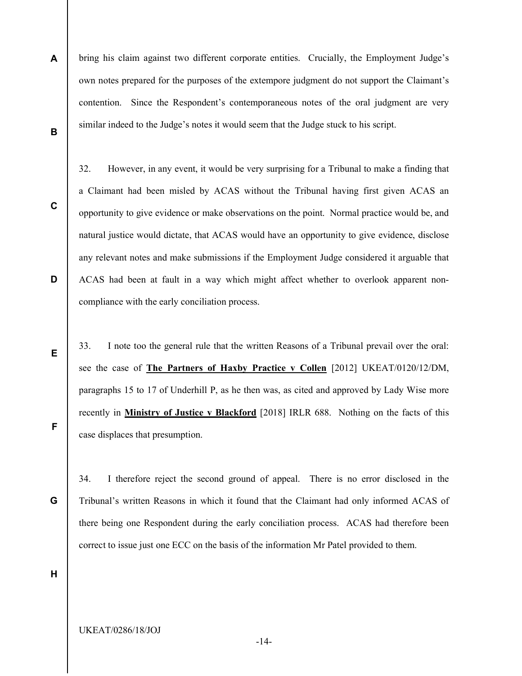A B bring his claim against two different corporate entities. Crucially, the Employment Judge's own notes prepared for the purposes of the extempore judgment do not support the Claimant's contention. Since the Respondent's contemporaneous notes of the oral judgment are very similar indeed to the Judge's notes it would seem that the Judge stuck to his script.

C

D

E

32. However, in any event, it would be very surprising for a Tribunal to make a finding that a Claimant had been misled by ACAS without the Tribunal having first given ACAS an opportunity to give evidence or make observations on the point. Normal practice would be, and natural justice would dictate, that ACAS would have an opportunity to give evidence, disclose any relevant notes and make submissions if the Employment Judge considered it arguable that ACAS had been at fault in a way which might affect whether to overlook apparent noncompliance with the early conciliation process.

33. I note too the general rule that the written Reasons of a Tribunal prevail over the oral: see the case of The Partners of Haxby Practice v Collen [2012] UKEAT/0120/12/DM, paragraphs 15 to 17 of Underhill P, as he then was, as cited and approved by Lady Wise more recently in Ministry of Justice v Blackford [2018] IRLR 688. Nothing on the facts of this case displaces that presumption.

F

G

34. I therefore reject the second ground of appeal. There is no error disclosed in the Tribunal's written Reasons in which it found that the Claimant had only informed ACAS of there being one Respondent during the early conciliation process. ACAS had therefore been correct to issue just one ECC on the basis of the information Mr Patel provided to them.

H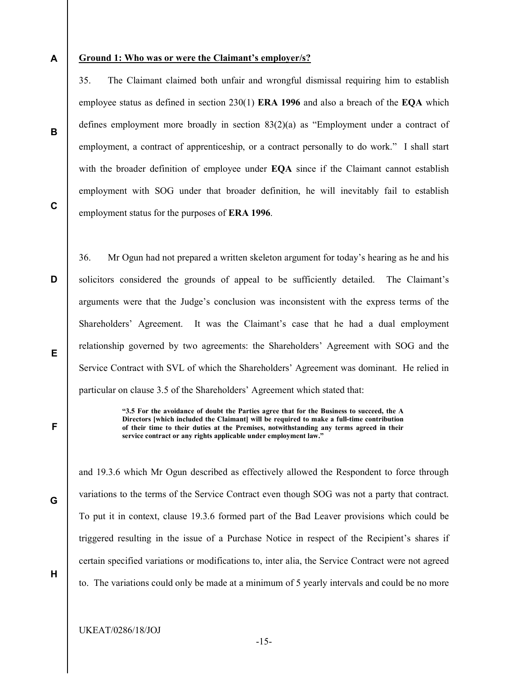A

#### Ground 1: Who was or were the Claimant's employer/s?

35. The Claimant claimed both unfair and wrongful dismissal requiring him to establish employee status as defined in section 230(1) ERA 1996 and also a breach of the EQA which defines employment more broadly in section 83(2)(a) as "Employment under a contract of employment, a contract of apprenticeship, or a contract personally to do work." I shall start with the broader definition of employee under **EQA** since if the Claimant cannot establish employment with SOG under that broader definition, he will inevitably fail to establish employment status for the purposes of ERA 1996.

C

B

D 36. Mr Ogun had not prepared a written skeleton argument for today's hearing as he and his solicitors considered the grounds of appeal to be sufficiently detailed. The Claimant's arguments were that the Judge's conclusion was inconsistent with the express terms of the Shareholders' Agreement. It was the Claimant's case that he had a dual employment relationship governed by two agreements: the Shareholders' Agreement with SOG and the Service Contract with SVL of which the Shareholders' Agreement was dominant. He relied in particular on clause 3.5 of the Shareholders' Agreement which stated that:

> "3.5 For the avoidance of doubt the Parties agree that for the Business to succeed, the A Directors [which included the Claimant] will be required to make a full-time contribution of their time to their duties at the Premises, notwithstanding any terms agreed in their service contract or any rights applicable under employment law."

and 19.3.6 which Mr Ogun described as effectively allowed the Respondent to force through variations to the terms of the Service Contract even though SOG was not a party that contract. To put it in context, clause 19.3.6 formed part of the Bad Leaver provisions which could be triggered resulting in the issue of a Purchase Notice in respect of the Recipient's shares if certain specified variations or modifications to, inter alia, the Service Contract were not agreed to. The variations could only be made at a minimum of 5 yearly intervals and could be no more

E

F

G

H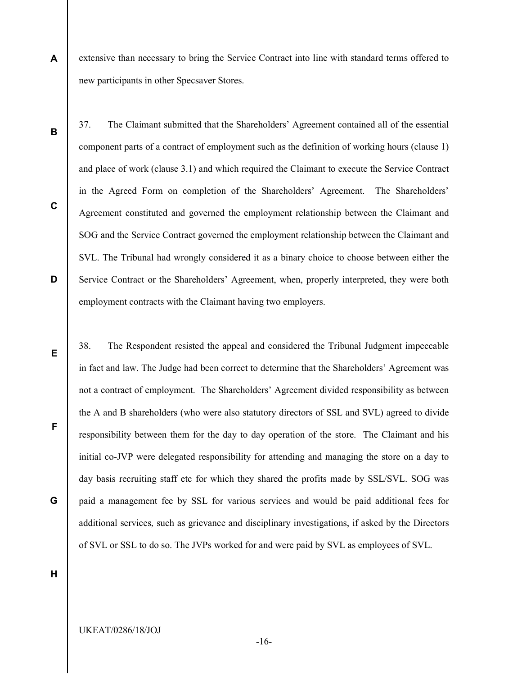extensive than necessary to bring the Service Contract into line with standard terms offered to new participants in other Specsaver Stores.

37. The Claimant submitted that the Shareholders' Agreement contained all of the essential

component parts of a contract of employment such as the definition of working hours (clause 1)

and place of work (clause 3.1) and which required the Claimant to execute the Service Contract

in the Agreed Form on completion of the Shareholders' Agreement. The Shareholders'

Agreement constituted and governed the employment relationship between the Claimant and

SOG and the Service Contract governed the employment relationship between the Claimant and

SVL. The Tribunal had wrongly considered it as a binary choice to choose between either the

Service Contract or the Shareholders' Agreement, when, properly interpreted, they were both

employment contracts with the Claimant having two employers.

B

A

C

D

E

F

38. The Respondent resisted the appeal and considered the Tribunal Judgment impeccable in fact and law. The Judge had been correct to determine that the Shareholders' Agreement was not a contract of employment. The Shareholders' Agreement divided responsibility as between the A and B shareholders (who were also statutory directors of SSL and SVL) agreed to divide responsibility between them for the day to day operation of the store. The Claimant and his initial co-JVP were delegated responsibility for attending and managing the store on a day to day basis recruiting staff etc for which they shared the profits made by SSL/SVL. SOG was paid a management fee by SSL for various services and would be paid additional fees for additional services, such as grievance and disciplinary investigations, if asked by the Directors of SVL or SSL to do so. The JVPs worked for and were paid by SVL as employees of SVL.

H

G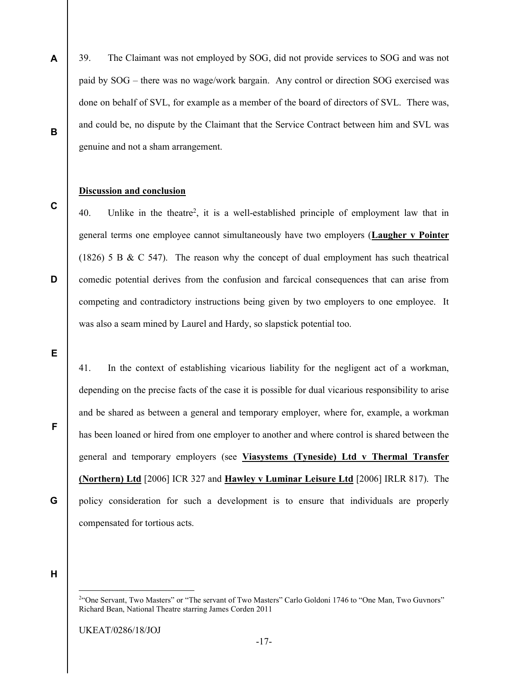A 39. The Claimant was not employed by SOG, did not provide services to SOG and was not paid by SOG – there was no wage/work bargain. Any control or direction SOG exercised was done on behalf of SVL, for example as a member of the board of directors of SVL. There was, and could be, no dispute by the Claimant that the Service Contract between him and SVL was genuine and not a sham arrangement.

# Discussion and conclusion

40. Unlike in the theatre<sup>2</sup>, it is a well-established principle of employment law that in general terms one employee cannot simultaneously have two employers (Laugher v Pointer (1826) 5 B & C 547). The reason why the concept of dual employment has such theatrical comedic potential derives from the confusion and farcical consequences that can arise from competing and contradictory instructions being given by two employers to one employee. It was also a seam mined by Laurel and Hardy, so slapstick potential too.

E

F

G

B

C

D

41. In the context of establishing vicarious liability for the negligent act of a workman, depending on the precise facts of the case it is possible for dual vicarious responsibility to arise and be shared as between a general and temporary employer, where for, example, a workman has been loaned or hired from one employer to another and where control is shared between the general and temporary employers (see Viasystems (Tyneside) Ltd v Thermal Transfer (Northern) Ltd [2006] ICR 327 and Hawley v Luminar Leisure Ltd [2006] IRLR 817). The policy consideration for such a development is to ensure that individuals are properly compensated for tortious acts.

H

-

<sup>&</sup>lt;sup>2"</sup>One Servant, Two Masters" or "The servant of Two Masters" Carlo Goldoni 1746 to "One Man, Two Guvnors" Richard Bean, National Theatre starring James Corden 2011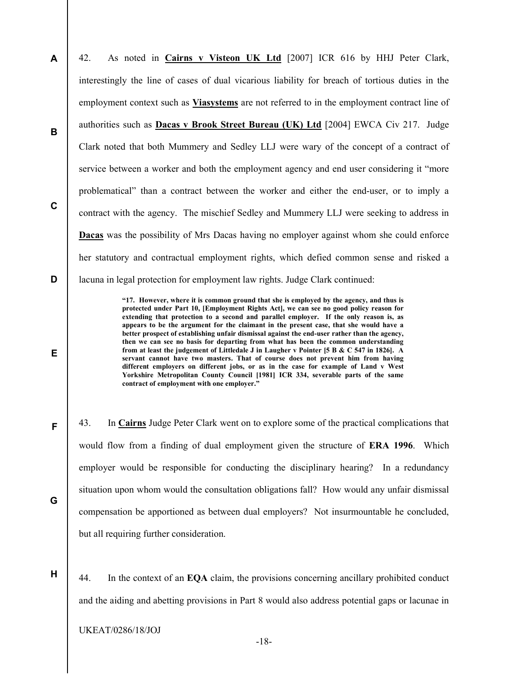A B C D 42. As noted in Cairns v Visteon UK Ltd [2007] ICR 616 by HHJ Peter Clark, interestingly the line of cases of dual vicarious liability for breach of tortious duties in the employment context such as **Viasystems** are not referred to in the employment contract line of authorities such as Dacas v Brook Street Bureau (UK) Ltd [2004] EWCA Civ 217. Judge Clark noted that both Mummery and Sedley LLJ were wary of the concept of a contract of service between a worker and both the employment agency and end user considering it "more problematical" than a contract between the worker and either the end-user, or to imply a contract with the agency. The mischief Sedley and Mummery LLJ were seeking to address in Dacas was the possibility of Mrs Dacas having no employer against whom she could enforce her statutory and contractual employment rights, which defied common sense and risked a lacuna in legal protection for employment law rights. Judge Clark continued:

> "17. However, where it is common ground that she is employed by the agency, and thus is protected under Part 10, [Employment Rights Act], we can see no good policy reason for extending that protection to a second and parallel employer. If the only reason is, as appears to be the argument for the claimant in the present case, that she would have a better prospect of establishing unfair dismissal against the end-user rather than the agency, then we can see no basis for departing from what has been the common understanding from at least the judgement of Littledale J in Laugher v Pointer [5 B & C 547 in 1826]. A servant cannot have two masters. That of course does not prevent him from having different employers on different jobs, or as in the case for example of Land v West Yorkshire Metropolitan County Council [1981] ICR 334, severable parts of the same contract of employment with one employer."

43. In Cairns Judge Peter Clark went on to explore some of the practical complications that would flow from a finding of dual employment given the structure of ERA 1996. Which employer would be responsible for conducting the disciplinary hearing? In a redundancy situation upon whom would the consultation obligations fall? How would any unfair dismissal compensation be apportioned as between dual employers? Not insurmountable he concluded, but all requiring further consideration.

H

E

F

G

44. In the context of an EQA claim, the provisions concerning ancillary prohibited conduct and the aiding and abetting provisions in Part 8 would also address potential gaps or lacunae in

-18-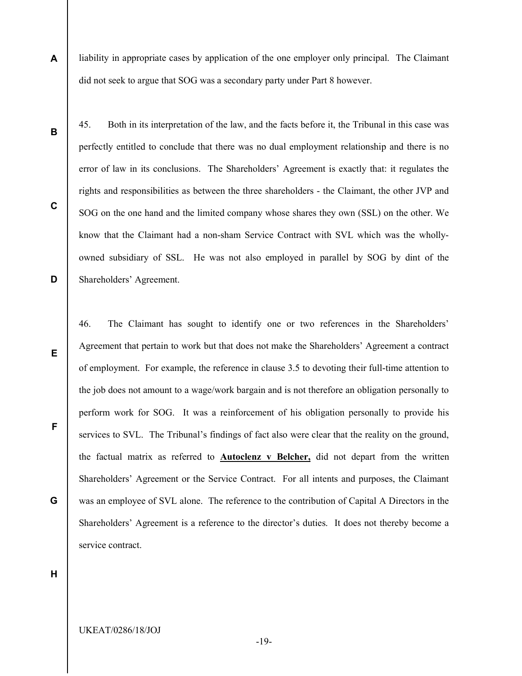A liability in appropriate cases by application of the one employer only principal. The Claimant did not seek to argue that SOG was a secondary party under Part 8 however.

B

C

D

E

F

G

45. Both in its interpretation of the law, and the facts before it, the Tribunal in this case was perfectly entitled to conclude that there was no dual employment relationship and there is no error of law in its conclusions. The Shareholders' Agreement is exactly that: it regulates the rights and responsibilities as between the three shareholders - the Claimant, the other JVP and SOG on the one hand and the limited company whose shares they own (SSL) on the other. We know that the Claimant had a non-sham Service Contract with SVL which was the whollyowned subsidiary of SSL. He was not also employed in parallel by SOG by dint of the Shareholders' Agreement.

46. The Claimant has sought to identify one or two references in the Shareholders' Agreement that pertain to work but that does not make the Shareholders' Agreement a contract of employment. For example, the reference in clause 3.5 to devoting their full-time attention to the job does not amount to a wage/work bargain and is not therefore an obligation personally to perform work for SOG. It was a reinforcement of his obligation personally to provide his services to SVL. The Tribunal's findings of fact also were clear that the reality on the ground, the factual matrix as referred to Autoclenz v Belcher, did not depart from the written Shareholders' Agreement or the Service Contract. For all intents and purposes, the Claimant was an employee of SVL alone. The reference to the contribution of Capital A Directors in the Shareholders' Agreement is a reference to the director's duties. It does not thereby become a service contract.

H

-19-